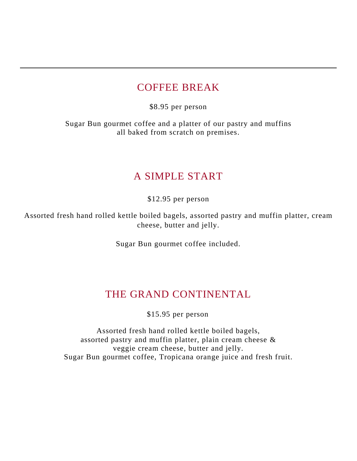### COFFEE BREAK

\$8.95 per person

Sugar Bun gourmet coffee and a platter of our pastry and muffins all baked from scratch on premises.

## A SIMPLE START

\$12.95 per person

Assorted fresh hand rolled kettle boiled bagels, assorted pastry and muffin platter, cream cheese, butter and jelly.

Sugar Bun gourmet coffee included.

## THE GRAND CONTINENTAL

\$15.95 per person

Assorted fresh hand rolled kettle boiled bagels, assorted pastry and muffin platter, plain cream cheese & veggie cream cheese, butter and jelly. Sugar Bun gourmet coffee, Tropicana orange juice and fresh fruit.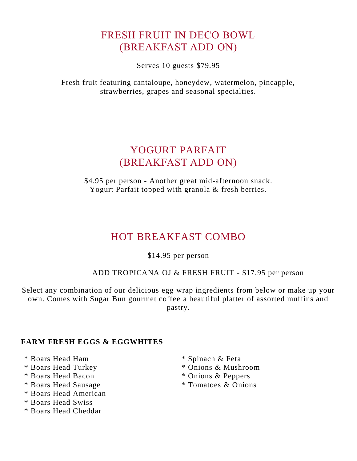# FRESH FRUIT IN DECO BOWL (BREAKFAST ADD ON)

Serves 10 guests \$79.95

Fresh fruit featuring cantaloupe, honeydew, watermelon, pineapple, strawberries, grapes and seasonal specialties.

## YOGURT PARFAIT (BREAKFAST ADD ON)

\$4.95 per person - Another great mid-afternoon snack. Yogurt Parfait topped with granola & fresh berries.

# HOT BREAKFAST COMBO

\$14.95 per person

ADD TROPICANA OJ & FRESH FRUIT - \$17.95 per person

Select any combination of our delicious egg wrap ingredients from below or make up your own. Comes with Sugar Bun gourmet coffee a beautiful platter of assorted muffins and pastry.

### **FARM FRESH EGGS & EGGWHITES**

- \* Boars Head Ham \* Spinach & Feta
- 
- \* Boars Head Bacon \* Onions & Peppers
- \* Boars Head Sausage \* Tomatoes & Onions
- \* Boars Head American
- \* Boars Head Swiss
- \* Boars Head Cheddar
- 
- \* Boars Head Turkey \* Onions & Mushroom
	-
	-